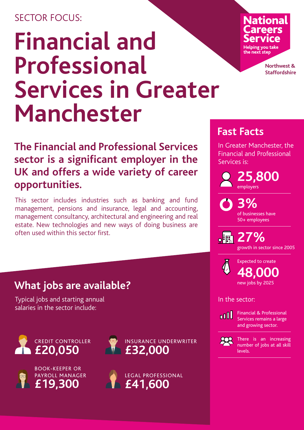## SECTOR FOCUS<sup>.</sup>

# **Financial and Professional Services in Greater Manchester**

**The Financial and Professional Services sector is a significant employer in the UK and offers a wide variety of career opportunities.**

This sector includes industries such as banking and fund management, pensions and insurance, legal and accounting, management consultancy, architectural and engineering and real estate. New technologies and new ways of doing business are often used within this sector first.

## **Fast Facts**

In Greater Manchester, the Financial and Professional Services is:

**25,800** employers

> **3%** of businesses have 50+ employees

**27%** growth in sector since 2005



### In the sector:



Financial & Professional Services remains a large and growing sector.



There is an increasing number of jobs at all skill levels.

## **What jobs are available?**

Typical jobs and starting annual salaries in the sector include:









**National** Helping you take

the next ster

**Northwest & Staffordshire**